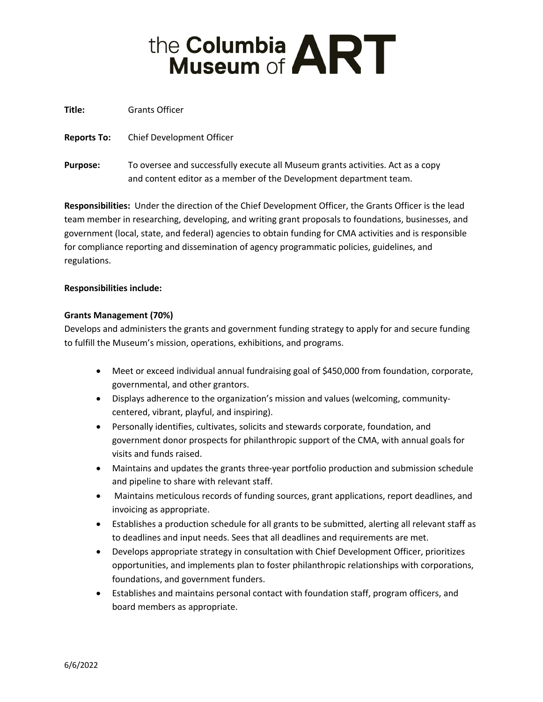# the Columbia **ART**

**Title:** Grants Officer

**Reports To:** Chief Development Officer

**Purpose:** To oversee and successfully execute all Museum grants activities. Act as a copy and content editor as a member of the Development department team.

**Responsibilities:** Under the direction of the Chief Development Officer, the Grants Officer is the lead team member in researching, developing, and writing grant proposals to foundations, businesses, and government (local, state, and federal) agencies to obtain funding for CMA activities and is responsible for compliance reporting and dissemination of agency programmatic policies, guidelines, and regulations.

# **Responsibilities include:**

# **Grants Management (70%)**

Develops and administers the grants and government funding strategy to apply for and secure funding to fulfill the Museum's mission, operations, exhibitions, and programs.

- Meet or exceed individual annual fundraising goal of \$450,000 from foundation, corporate, governmental, and other grantors.
- Displays adherence to the organization's mission and values (welcoming, communitycentered, vibrant, playful, and inspiring).
- Personally identifies, cultivates, solicits and stewards corporate, foundation, and government donor prospects for philanthropic support of the CMA, with annual goals for visits and funds raised.
- Maintains and updates the grants three-year portfolio production and submission schedule and pipeline to share with relevant staff.
- Maintains meticulous records of funding sources, grant applications, report deadlines, and invoicing as appropriate.
- Establishes a production schedule for all grants to be submitted, alerting all relevant staff as to deadlines and input needs. Sees that all deadlines and requirements are met.
- Develops appropriate strategy in consultation with Chief Development Officer, prioritizes opportunities, and implements plan to foster philanthropic relationships with corporations, foundations, and government funders.
- Establishes and maintains personal contact with foundation staff, program officers, and board members as appropriate.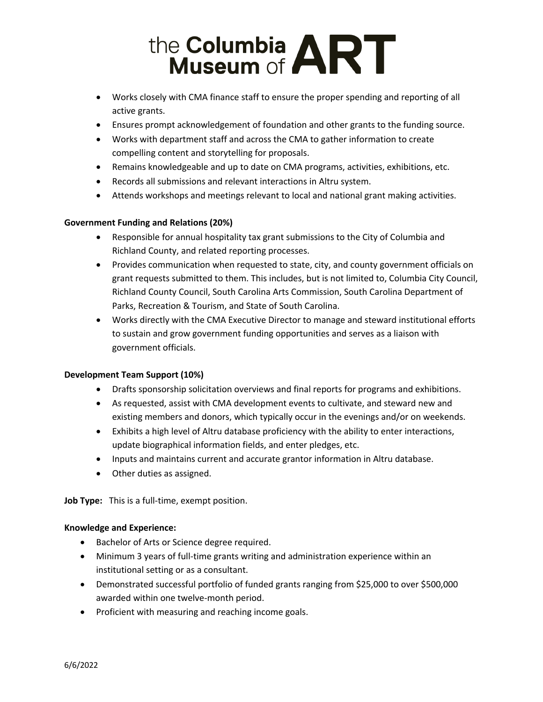# the Columbia **ART**

- Works closely with CMA finance staff to ensure the proper spending and reporting of all active grants.
- Ensures prompt acknowledgement of foundation and other grants to the funding source.
- Works with department staff and across the CMA to gather information to create compelling content and storytelling for proposals.
- Remains knowledgeable and up to date on CMA programs, activities, exhibitions, etc.
- Records all submissions and relevant interactions in Altru system.
- Attends workshops and meetings relevant to local and national grant making activities.

# **Government Funding and Relations (20%)**

- Responsible for annual hospitality tax grant submissions to the City of Columbia and Richland County, and related reporting processes.
- Provides communication when requested to state, city, and county government officials on grant requests submitted to them. This includes, but is not limited to, Columbia City Council, Richland County Council, South Carolina Arts Commission, South Carolina Department of Parks, Recreation & Tourism, and State of South Carolina.
- Works directly with the CMA Executive Director to manage and steward institutional efforts to sustain and grow government funding opportunities and serves as a liaison with government officials.

### **Development Team Support (10%)**

- Drafts sponsorship solicitation overviews and final reports for programs and exhibitions.
- As requested, assist with CMA development events to cultivate, and steward new and existing members and donors, which typically occur in the evenings and/or on weekends.
- Exhibits a high level of Altru database proficiency with the ability to enter interactions, update biographical information fields, and enter pledges, etc.
- Inputs and maintains current and accurate grantor information in Altru database.
- Other duties as assigned.

**Job Type:** This is a full-time, exempt position.

### **Knowledge and Experience:**

- Bachelor of Arts or Science degree required.
- Minimum 3 years of full-time grants writing and administration experience within an institutional setting or as a consultant.
- Demonstrated successful portfolio of funded grants ranging from \$25,000 to over \$500,000 awarded within one twelve-month period.
- Proficient with measuring and reaching income goals.